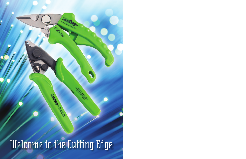Welcome to the Cutting Edge

**COMPANY** 

Cah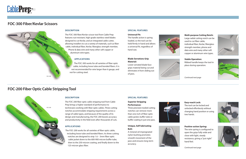### **Universal Fit:**

The handle action is spring loaded, so the tool can be held firmly in hand and allows a universal fit, regardless of hand size.



### **Blade Serrations Grip Material:**

Lower serrated blade face grips material being cut and eliminates it from sliding out of jaws.



# **Multi-purpose Cutting Notch:**

Large radial cutting notch can be used to cut fiber cable, individual fiber, Kevlar, fiberglass strength member, phone and data wire and many other soft copper or aluminum wire types.

# **Stable Operation:**

Ribbed handle keeps the tool in place during operation.

Continued next page

# **Superior Stripping Performance:**

Three precision-tooled cutting notches can remove more than one inch of fiber optic cable jacket, buffer tube or buffer coating in just one pass.

# **Unique, Self-lubricating Bolt:**

A mineral-oil impregnated nylon bushing promotes smooth movement of the jaws and ensures long-term accuracy.





### **Easy-reach Lock:**

The tool can be locked and unlocked effortlessly without changing hand position or using two hands.



# **FOC-300 Fiber/Kevlar Scissors FOC-300 Fiber/Kevlar Scissors**

### **Positive-action Spring:**

The wire spring is configured to open the grips fully wide and close with light, steady resistance, giving a "just right" hand feel.

Continued next page









The FOC-200 fiber optic cable stripping tool from Cable Prep brings a higher standard of performance to technicians working with fiber optic cables. Three cutting notches accommodate stripping requirements across a range of cable types, and because of the quality of its design and manufacturing, the FOC-200 boosts accuracy and productivity in the field even after thousands of cuts.

# **APPLICATIONS**

The FOC-200 works for all varieties of fiber optic cable, including loose tube and bonded fibers. Its three cutting notches are designed to strip 1.6 – 3mm fiber optic cable jacket down to the 600-900 micron buffer tube, then to the 250-micron coating, and finally down to the 125-micron glass fiber.

# **FOC-200 Fiber Optic Cable Stripping Tool**





# **DESCRIPTION**

The FOC-300 fiber/Kevlar scissor tool from Cable Prep features rust-resistant, high-grade stainless-steel blades designed to cut Kevlar, and an integrated cable cutter, allowing installers to cut a variety of materials, such as fiber cable, individual fiber, Kevlar, fiberglass strength member, Phone & data wire and many other soft copper or aluminum wire types.

# **APPLICATIONS**

The FOC-300 works for all varieties of fiber optic cable, including loose tube and bonded fibers. It is not recommended for wire larger than 6 gauge, and not for cutting steel.

# **SPECIAL FEATURES**